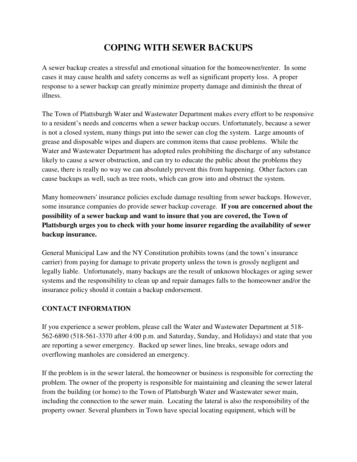# **COPING WITH SEWER BACKUPS**

A sewer backup creates a stressful and emotional situation for the homeowner/renter. In some cases it may cause health and safety concerns as well as significant property loss. A proper response to a sewer backup can greatly minimize property damage and diminish the threat of illness.

The Town of Plattsburgh Water and Wastewater Department makes every effort to be responsive to a resident's needs and concerns when a sewer backup occurs. Unfortunately, because a sewer is not a closed system, many things put into the sewer can clog the system. Large amounts of grease and disposable wipes and diapers are common items that cause problems. While the Water and Wastewater Department has adopted rules prohibiting the discharge of any substance likely to cause a sewer obstruction, and can try to educate the public about the problems they cause, there is really no way we can absolutely prevent this from happening. Other factors can cause backups as well, such as tree roots, which can grow into and obstruct the system.

Many homeowners' insurance policies exclude damage resulting from sewer backups. However, some insurance companies do provide sewer backup coverage. **If you are concerned about the possibility of a sewer backup and want to insure that you are covered, the Town of Plattsburgh urges you to check with your home insurer regarding the availability of sewer backup insurance.** 

General Municipal Law and the NY Constitution prohibits towns (and the town's insurance carrier) from paying for damage to private property unless the town is grossly negligent and legally liable. Unfortunately, many backups are the result of unknown blockages or aging sewer systems and the responsibility to clean up and repair damages falls to the homeowner and/or the insurance policy should it contain a backup endorsement.

# **CONTACT INFORMATION**

If you experience a sewer problem, please call the Water and Wastewater Department at 518- 562-6890 (518-561-3370 after 4:00 p.m. and Saturday, Sunday, and Holidays) and state that you are reporting a sewer emergency. Backed up sewer lines, line breaks, sewage odors and overflowing manholes are considered an emergency.

If the problem is in the sewer lateral, the homeowner or business is responsible for correcting the problem. The owner of the property is responsible for maintaining and cleaning the sewer lateral from the building (or home) to the Town of Plattsburgh Water and Wastewater sewer main, including the connection to the sewer main. Locating the lateral is also the responsibility of the property owner. Several plumbers in Town have special locating equipment, which will be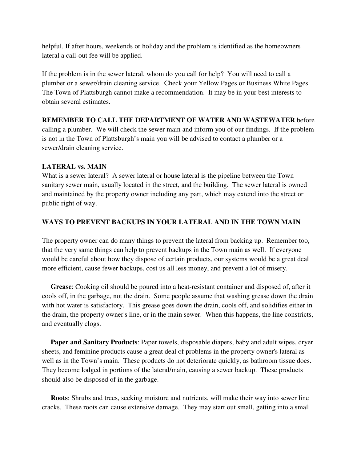helpful. If after hours, weekends or holiday and the problem is identified as the homeowners lateral a call-out fee will be applied.

If the problem is in the sewer lateral, whom do you call for help? You will need to call a plumber or a sewer/drain cleaning service. Check your Yellow Pages or Business White Pages. The Town of Plattsburgh cannot make a recommendation. It may be in your best interests to obtain several estimates.

# **REMEMBER TO CALL THE DEPARTMENT OF WATER AND WASTEWATER** before calling a plumber. We will check the sewer main and inform you of our findings. If the problem is not in the Town of Plattsburgh's main you will be advised to contact a plumber or a sewer/drain cleaning service.

# **LATERAL vs. MAIN**

What is a sewer lateral? A sewer lateral or house lateral is the pipeline between the Town sanitary sewer main, usually located in the street, and the building. The sewer lateral is owned and maintained by the property owner including any part, which may extend into the street or public right of way.

# **WAYS TO PREVENT BACKUPS IN YOUR LATERAL AND IN THE TOWN MAIN**

The property owner can do many things to prevent the lateral from backing up. Remember too, that the very same things can help to prevent backups in the Town main as well. If everyone would be careful about how they dispose of certain products, our systems would be a great deal more efficient, cause fewer backups, cost us all less money, and prevent a lot of misery.

 **Grease**: Cooking oil should be poured into a heat-resistant container and disposed of, after it cools off, in the garbage, not the drain. Some people assume that washing grease down the drain with hot water is satisfactory. This grease goes down the drain, cools off, and solidifies either in the drain, the property owner's line, or in the main sewer. When this happens, the line constricts, and eventually clogs.

 **Paper and Sanitary Products**: Paper towels, disposable diapers, baby and adult wipes, dryer sheets, and feminine products cause a great deal of problems in the property owner's lateral as well as in the Town's main. These products do not deteriorate quickly, as bathroom tissue does. They become lodged in portions of the lateral/main, causing a sewer backup. These products should also be disposed of in the garbage.

 **Roots**: Shrubs and trees, seeking moisture and nutrients, will make their way into sewer line cracks. These roots can cause extensive damage. They may start out small, getting into a small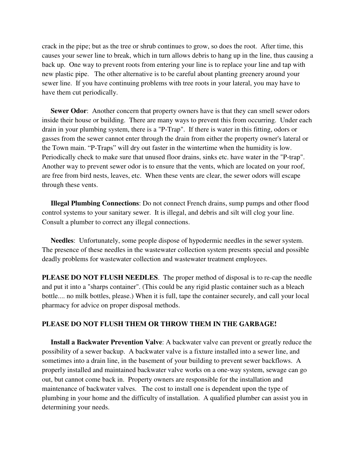crack in the pipe; but as the tree or shrub continues to grow, so does the root. After time, this causes your sewer line to break, which in turn allows debris to hang up in the line, thus causing a back up. One way to prevent roots from entering your line is to replace your line and tap with new plastic pipe. The other alternative is to be careful about planting greenery around your sewer line. If you have continuing problems with tree roots in your lateral, you may have to have them cut periodically.

**Sewer Odor:** Another concern that property owners have is that they can smell sewer odors inside their house or building. There are many ways to prevent this from occurring. Under each drain in your plumbing system, there is a "P-Trap". If there is water in this fitting, odors or gasses from the sewer cannot enter through the drain from either the property owner's lateral or the Town main. "P-Traps" will dry out faster in the wintertime when the humidity is low. Periodically check to make sure that unused floor drains, sinks etc. have water in the "P-trap". Another way to prevent sewer odor is to ensure that the vents, which are located on your roof, are free from bird nests, leaves, etc. When these vents are clear, the sewer odors will escape through these vents.

 **Illegal Plumbing Connections**: Do not connect French drains, sump pumps and other flood control systems to your sanitary sewer. It is illegal, and debris and silt will clog your line. Consult a plumber to correct any illegal connections.

 **Needles**: Unfortunately, some people dispose of hypodermic needles in the sewer system. The presence of these needles in the wastewater collection system presents special and possible deadly problems for wastewater collection and wastewater treatment employees.

**PLEASE DO NOT FLUSH NEEDLES**. The proper method of disposal is to re-cap the needle and put it into a "sharps container". (This could be any rigid plastic container such as a bleach bottle.... no milk bottles, please.) When it is full, tape the container securely, and call your local pharmacy for advice on proper disposal methods.

#### **PLEASE DO NOT FLUSH THEM OR THROW THEM IN THE GARBAGE!**

 **Install a Backwater Prevention Valve**: A backwater valve can prevent or greatly reduce the possibility of a sewer backup. A backwater valve is a fixture installed into a sewer line, and sometimes into a drain line, in the basement of your building to prevent sewer backflows. A properly installed and maintained backwater valve works on a one-way system, sewage can go out, but cannot come back in. Property owners are responsible for the installation and maintenance of backwater valves. The cost to install one is dependent upon the type of plumbing in your home and the difficulty of installation. A qualified plumber can assist you in determining your needs.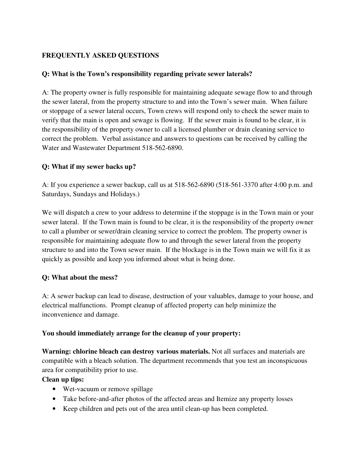# **FREQUENTLY ASKED QUESTIONS**

# **Q: What is the Town's responsibility regarding private sewer laterals?**

A: The property owner is fully responsible for maintaining adequate sewage flow to and through the sewer lateral, from the property structure to and into the Town's sewer main. When failure or stoppage of a sewer lateral occurs, Town crews will respond only to check the sewer main to verify that the main is open and sewage is flowing. If the sewer main is found to be clear, it is the responsibility of the property owner to call a licensed plumber or drain cleaning service to correct the problem. Verbal assistance and answers to questions can be received by calling the Water and Wastewater Department 518-562-6890.

# **Q: What if my sewer backs up?**

A: If you experience a sewer backup, call us at 518-562-6890 (518-561-3370 after 4:00 p.m. and Saturdays, Sundays and Holidays.)

We will dispatch a crew to your address to determine if the stoppage is in the Town main or your sewer lateral. If the Town main is found to be clear, it is the responsibility of the property owner to call a plumber or sewer/drain cleaning service to correct the problem. The property owner is responsible for maintaining adequate flow to and through the sewer lateral from the property structure to and into the Town sewer main. If the blockage is in the Town main we will fix it as quickly as possible and keep you informed about what is being done.

# **Q: What about the mess?**

A: A sewer backup can lead to disease, destruction of your valuables, damage to your house, and electrical malfunctions. Prompt cleanup of affected property can help minimize the inconvenience and damage.

# **You should immediately arrange for the cleanup of your property:**

**Warning: chlorine bleach can destroy various materials.** Not all surfaces and materials are compatible with a bleach solution. The department recommends that you test an inconspicuous area for compatibility prior to use.

# **Clean up tips:**

- Wet-vacuum or remove spillage
- Take before-and-after photos of the affected areas and Itemize any property losses
- Keep children and pets out of the area until clean-up has been completed.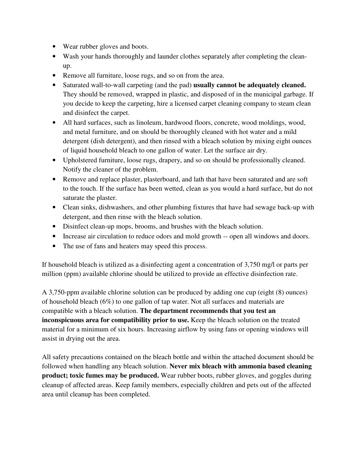- Wear rubber gloves and boots.
- Wash your hands thoroughly and launder clothes separately after completing the cleanup.
- Remove all furniture, loose rugs, and so on from the area.
- Saturated wall-to-wall carpeting (and the pad) **usually cannot be adequately cleaned.** They should be removed, wrapped in plastic, and disposed of in the municipal garbage. If you decide to keep the carpeting, hire a licensed carpet cleaning company to steam clean and disinfect the carpet.
- All hard surfaces, such as linoleum, hardwood floors, concrete, wood moldings, wood, and metal furniture, and on should be thoroughly cleaned with hot water and a mild detergent (dish detergent), and then rinsed with a bleach solution by mixing eight ounces of liquid household bleach to one gallon of water. Let the surface air dry.
- Upholstered furniture, loose rugs, drapery, and so on should be professionally cleaned. Notify the cleaner of the problem.
- Remove and replace plaster, plasterboard, and lath that have been saturated and are soft to the touch. If the surface has been wetted, clean as you would a hard surface, but do not saturate the plaster.
- Clean sinks, dishwashers, and other plumbing fixtures that have had sewage back-up with detergent, and then rinse with the bleach solution.
- Disinfect clean-up mops, brooms, and brushes with the bleach solution.
- Increase air circulation to reduce odors and mold growth -- open all windows and doors.
- The use of fans and heaters may speed this process.

If household bleach is utilized as a disinfecting agent a concentration of 3,750 mg/l or parts per million (ppm) available chlorine should be utilized to provide an effective disinfection rate.

A 3,750-ppm available chlorine solution can be produced by adding one cup (eight (8) ounces) of household bleach (6%) to one gallon of tap water. Not all surfaces and materials are compatible with a bleach solution. **The department recommends that you test an inconspicuous area for compatibility prior to use.** Keep the bleach solution on the treated material for a minimum of six hours. Increasing airflow by using fans or opening windows will assist in drying out the area.

All safety precautions contained on the bleach bottle and within the attached document should be followed when handling any bleach solution. **Never mix bleach with ammonia based cleaning product; toxic fumes may be produced.** Wear rubber boots, rubber gloves, and goggles during cleanup of affected areas. Keep family members, especially children and pets out of the affected area until cleanup has been completed.